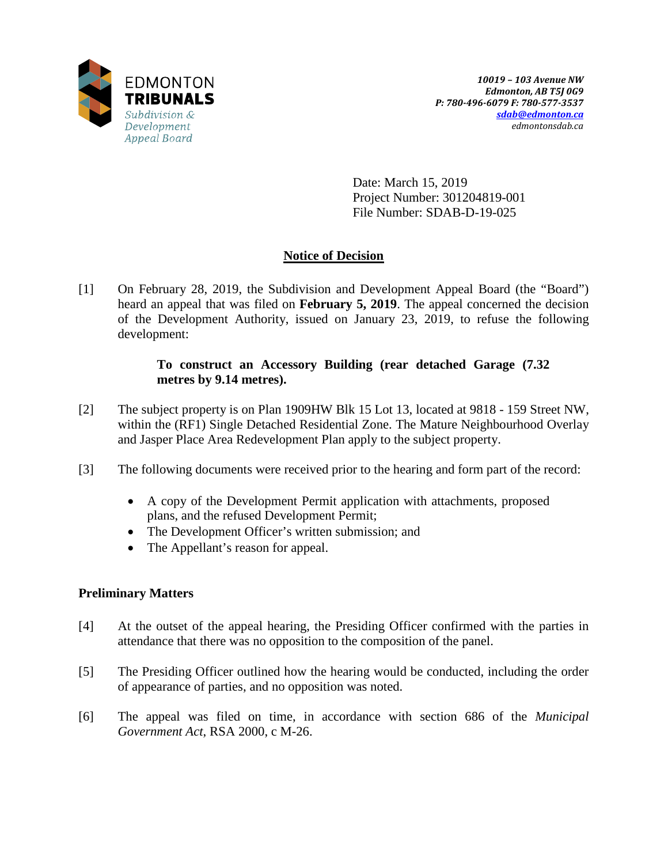

Date: March 15, 2019 Project Number: 301204819-001 File Number: SDAB-D-19-025

# **Notice of Decision**

[1] On February 28, 2019, the Subdivision and Development Appeal Board (the "Board") heard an appeal that was filed on **February 5, 2019**. The appeal concerned the decision of the Development Authority, issued on January 23, 2019, to refuse the following development:

## **To construct an Accessory Building (rear detached Garage (7.32 metres by 9.14 metres).**

- [2] The subject property is on Plan 1909HW Blk 15 Lot 13, located at 9818 159 Street NW, within the (RF1) Single Detached Residential Zone. The Mature Neighbourhood Overlay and Jasper Place Area Redevelopment Plan apply to the subject property.
- [3] The following documents were received prior to the hearing and form part of the record:
	- A copy of the Development Permit application with attachments, proposed plans, and the refused Development Permit;
	- The Development Officer's written submission; and
	- The Appellant's reason for appeal.

## **Preliminary Matters**

- [4] At the outset of the appeal hearing, the Presiding Officer confirmed with the parties in attendance that there was no opposition to the composition of the panel.
- [5] The Presiding Officer outlined how the hearing would be conducted, including the order of appearance of parties, and no opposition was noted.
- [6] The appeal was filed on time, in accordance with section 686 of the *Municipal Government Act*, RSA 2000, c M-26.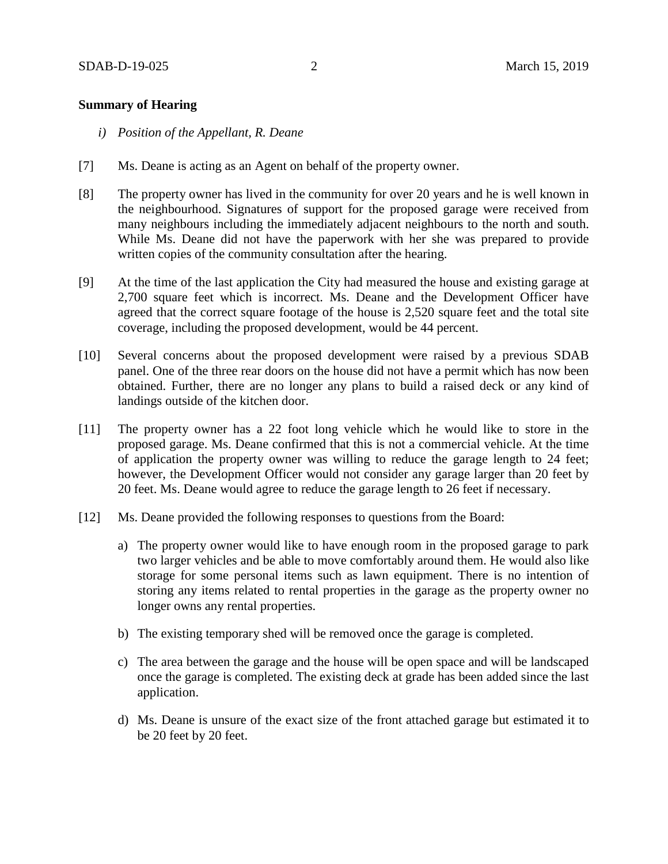### **Summary of Hearing**

- *i) Position of the Appellant, R. Deane*
- [7] Ms. Deane is acting as an Agent on behalf of the property owner.
- [8] The property owner has lived in the community for over 20 years and he is well known in the neighbourhood. Signatures of support for the proposed garage were received from many neighbours including the immediately adjacent neighbours to the north and south. While Ms. Deane did not have the paperwork with her she was prepared to provide written copies of the community consultation after the hearing.
- [9] At the time of the last application the City had measured the house and existing garage at 2,700 square feet which is incorrect. Ms. Deane and the Development Officer have agreed that the correct square footage of the house is 2,520 square feet and the total site coverage, including the proposed development, would be 44 percent.
- [10] Several concerns about the proposed development were raised by a previous SDAB panel. One of the three rear doors on the house did not have a permit which has now been obtained. Further, there are no longer any plans to build a raised deck or any kind of landings outside of the kitchen door.
- [11] The property owner has a 22 foot long vehicle which he would like to store in the proposed garage. Ms. Deane confirmed that this is not a commercial vehicle. At the time of application the property owner was willing to reduce the garage length to 24 feet; however, the Development Officer would not consider any garage larger than 20 feet by 20 feet. Ms. Deane would agree to reduce the garage length to 26 feet if necessary.
- [12] Ms. Deane provided the following responses to questions from the Board:
	- a) The property owner would like to have enough room in the proposed garage to park two larger vehicles and be able to move comfortably around them. He would also like storage for some personal items such as lawn equipment. There is no intention of storing any items related to rental properties in the garage as the property owner no longer owns any rental properties.
	- b) The existing temporary shed will be removed once the garage is completed.
	- c) The area between the garage and the house will be open space and will be landscaped once the garage is completed. The existing deck at grade has been added since the last application.
	- d) Ms. Deane is unsure of the exact size of the front attached garage but estimated it to be 20 feet by 20 feet.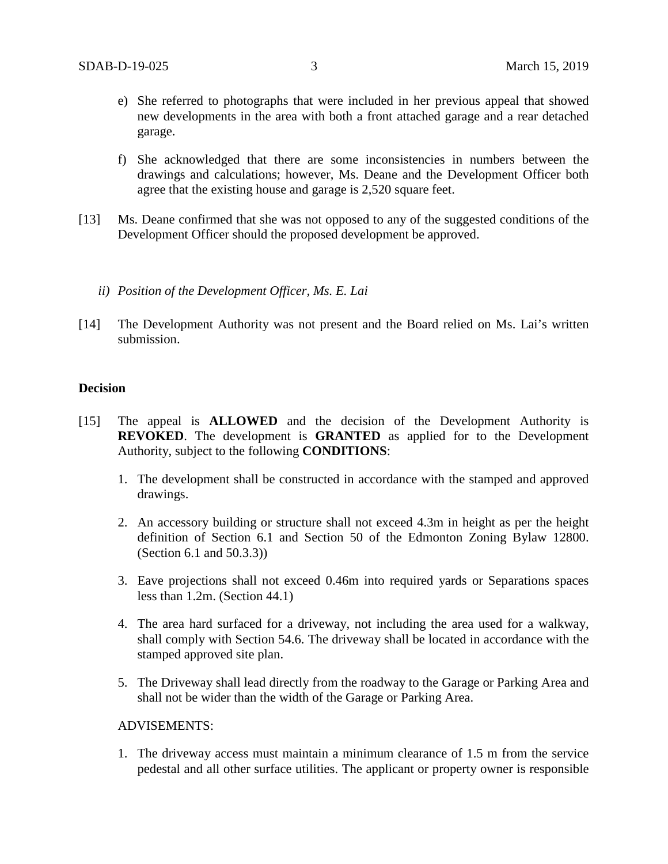- e) She referred to photographs that were included in her previous appeal that showed new developments in the area with both a front attached garage and a rear detached garage.
- f) She acknowledged that there are some inconsistencies in numbers between the drawings and calculations; however, Ms. Deane and the Development Officer both agree that the existing house and garage is 2,520 square feet.
- [13] Ms. Deane confirmed that she was not opposed to any of the suggested conditions of the Development Officer should the proposed development be approved.
	- *ii) Position of the Development Officer, Ms. E. Lai*
- [14] The Development Authority was not present and the Board relied on Ms. Lai's written submission.

#### **Decision**

- [15] The appeal is **ALLOWED** and the decision of the Development Authority is **REVOKED**. The development is **GRANTED** as applied for to the Development Authority, subject to the following **CONDITIONS**:
	- 1. The development shall be constructed in accordance with the stamped and approved drawings.
	- 2. An accessory building or structure shall not exceed 4.3m in height as per the height definition of Section 6.1 and Section 50 of the Edmonton Zoning Bylaw 12800. (Section 6.1 and 50.3.3))
	- 3. Eave projections shall not exceed 0.46m into required yards or Separations spaces less than 1.2m. (Section 44.1)
	- 4. The area hard surfaced for a driveway, not including the area used for a walkway, shall comply with Section 54.6. The driveway shall be located in accordance with the stamped approved site plan.
	- 5. The Driveway shall lead directly from the roadway to the Garage or Parking Area and shall not be wider than the width of the Garage or Parking Area.

#### ADVISEMENTS:

1. The driveway access must maintain a minimum clearance of 1.5 m from the service pedestal and all other surface utilities. The applicant or property owner is responsible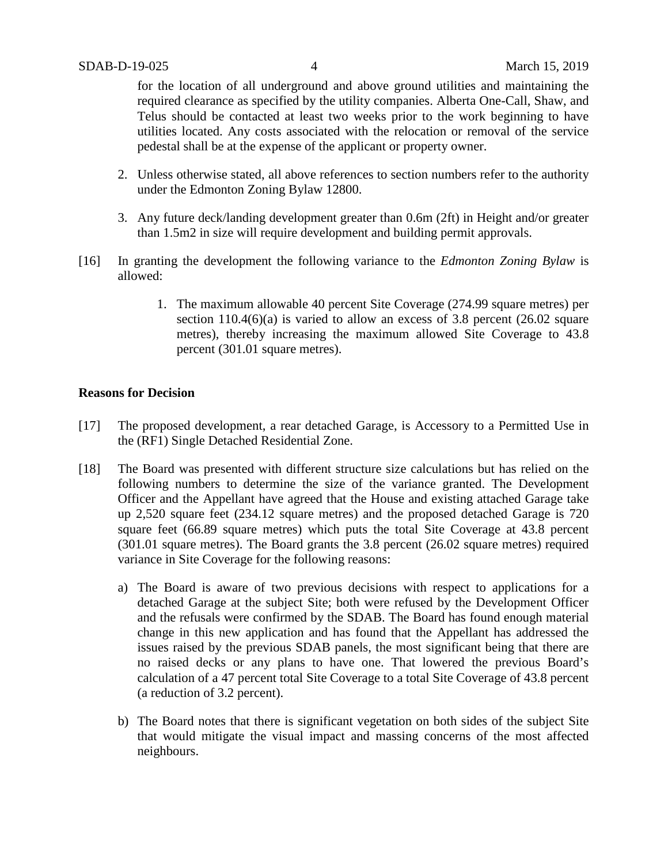for the location of all underground and above ground utilities and maintaining the required clearance as specified by the utility companies. Alberta One-Call, Shaw, and Telus should be contacted at least two weeks prior to the work beginning to have utilities located. Any costs associated with the relocation or removal of the service pedestal shall be at the expense of the applicant or property owner.

- 2. Unless otherwise stated, all above references to section numbers refer to the authority under the Edmonton Zoning Bylaw 12800.
- 3. Any future deck/landing development greater than 0.6m (2ft) in Height and/or greater than 1.5m2 in size will require development and building permit approvals.
- [16] In granting the development the following variance to the *Edmonton Zoning Bylaw* is allowed:
	- 1. The maximum allowable 40 percent Site Coverage (274.99 square metres) per section  $110.4(6)(a)$  is varied to allow an excess of 3.8 percent (26.02 square metres), thereby increasing the maximum allowed Site Coverage to 43.8 percent (301.01 square metres).

### **Reasons for Decision**

- [17] The proposed development, a rear detached Garage, is Accessory to a Permitted Use in the (RF1) Single Detached Residential Zone.
- [18] The Board was presented with different structure size calculations but has relied on the following numbers to determine the size of the variance granted. The Development Officer and the Appellant have agreed that the House and existing attached Garage take up 2,520 square feet (234.12 square metres) and the proposed detached Garage is 720 square feet (66.89 square metres) which puts the total Site Coverage at 43.8 percent (301.01 square metres). The Board grants the 3.8 percent (26.02 square metres) required variance in Site Coverage for the following reasons:
	- a) The Board is aware of two previous decisions with respect to applications for a detached Garage at the subject Site; both were refused by the Development Officer and the refusals were confirmed by the SDAB. The Board has found enough material change in this new application and has found that the Appellant has addressed the issues raised by the previous SDAB panels, the most significant being that there are no raised decks or any plans to have one. That lowered the previous Board's calculation of a 47 percent total Site Coverage to a total Site Coverage of 43.8 percent (a reduction of 3.2 percent).
	- b) The Board notes that there is significant vegetation on both sides of the subject Site that would mitigate the visual impact and massing concerns of the most affected neighbours.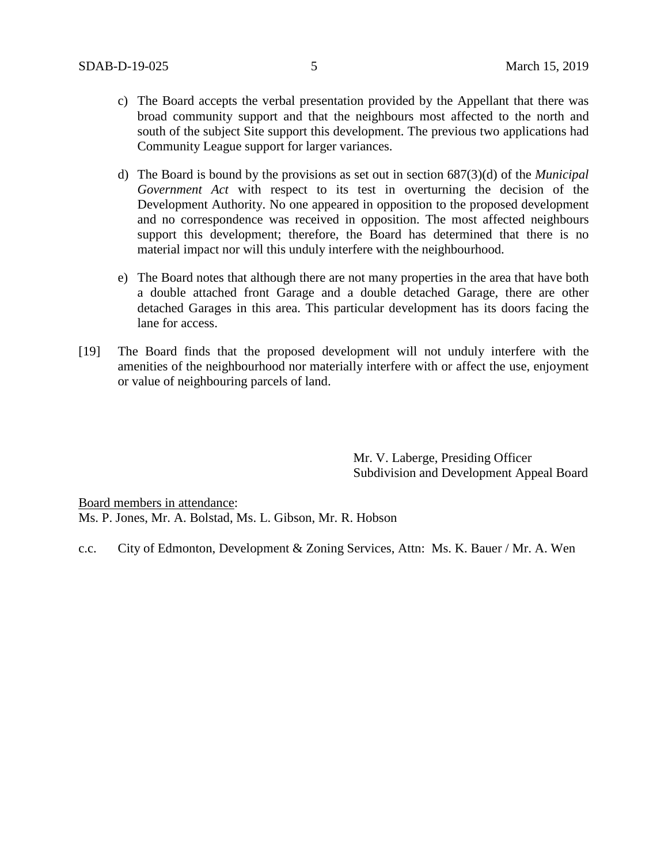- c) The Board accepts the verbal presentation provided by the Appellant that there was broad community support and that the neighbours most affected to the north and south of the subject Site support this development. The previous two applications had Community League support for larger variances.
- d) The Board is bound by the provisions as set out in section 687(3)(d) of the *Municipal Government Act* with respect to its test in overturning the decision of the Development Authority. No one appeared in opposition to the proposed development and no correspondence was received in opposition. The most affected neighbours support this development; therefore, the Board has determined that there is no material impact nor will this unduly interfere with the neighbourhood.
- e) The Board notes that although there are not many properties in the area that have both a double attached front Garage and a double detached Garage, there are other detached Garages in this area. This particular development has its doors facing the lane for access.
- [19] The Board finds that the proposed development will not unduly interfere with the amenities of the neighbourhood nor materially interfere with or affect the use, enjoyment or value of neighbouring parcels of land.

Mr. V. Laberge, Presiding Officer Subdivision and Development Appeal Board

Board members in attendance: Ms. P. Jones, Mr. A. Bolstad, Ms. L. Gibson, Mr. R. Hobson

c.c. City of Edmonton, Development & Zoning Services, Attn: Ms. K. Bauer / Mr. A. Wen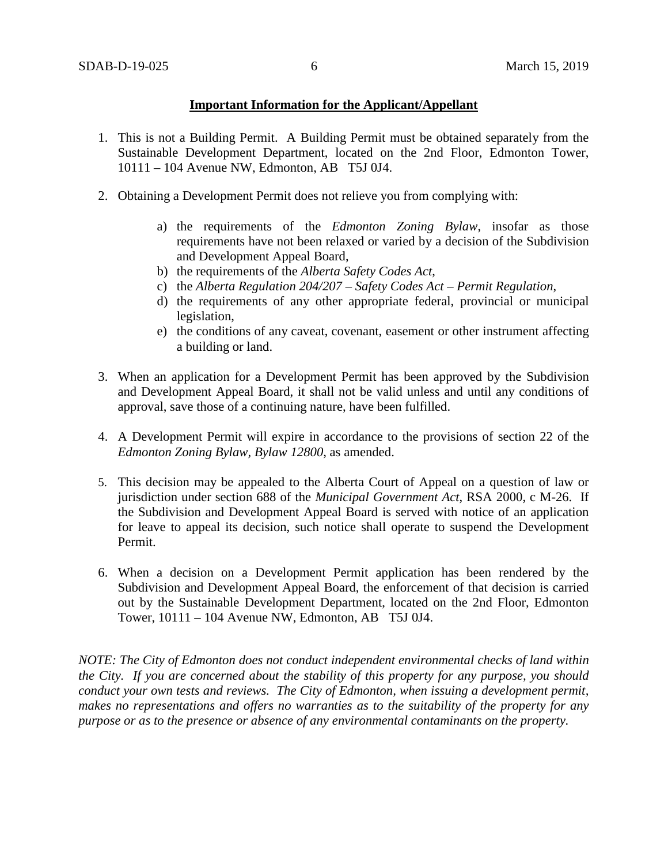### **Important Information for the Applicant/Appellant**

- 1. This is not a Building Permit. A Building Permit must be obtained separately from the Sustainable Development Department, located on the 2nd Floor, Edmonton Tower, 10111 – 104 Avenue NW, Edmonton, AB T5J 0J4.
- 2. Obtaining a Development Permit does not relieve you from complying with:
	- a) the requirements of the *Edmonton Zoning Bylaw*, insofar as those requirements have not been relaxed or varied by a decision of the Subdivision and Development Appeal Board,
	- b) the requirements of the *Alberta Safety Codes Act*,
	- c) the *Alberta Regulation 204/207 – Safety Codes Act – Permit Regulation*,
	- d) the requirements of any other appropriate federal, provincial or municipal legislation,
	- e) the conditions of any caveat, covenant, easement or other instrument affecting a building or land.
- 3. When an application for a Development Permit has been approved by the Subdivision and Development Appeal Board, it shall not be valid unless and until any conditions of approval, save those of a continuing nature, have been fulfilled.
- 4. A Development Permit will expire in accordance to the provisions of section 22 of the *Edmonton Zoning Bylaw, Bylaw 12800*, as amended.
- 5. This decision may be appealed to the Alberta Court of Appeal on a question of law or jurisdiction under section 688 of the *Municipal Government Act*, RSA 2000, c M-26. If the Subdivision and Development Appeal Board is served with notice of an application for leave to appeal its decision, such notice shall operate to suspend the Development Permit.
- 6. When a decision on a Development Permit application has been rendered by the Subdivision and Development Appeal Board, the enforcement of that decision is carried out by the Sustainable Development Department, located on the 2nd Floor, Edmonton Tower, 10111 – 104 Avenue NW, Edmonton, AB T5J 0J4.

*NOTE: The City of Edmonton does not conduct independent environmental checks of land within the City. If you are concerned about the stability of this property for any purpose, you should conduct your own tests and reviews. The City of Edmonton, when issuing a development permit, makes no representations and offers no warranties as to the suitability of the property for any purpose or as to the presence or absence of any environmental contaminants on the property.*